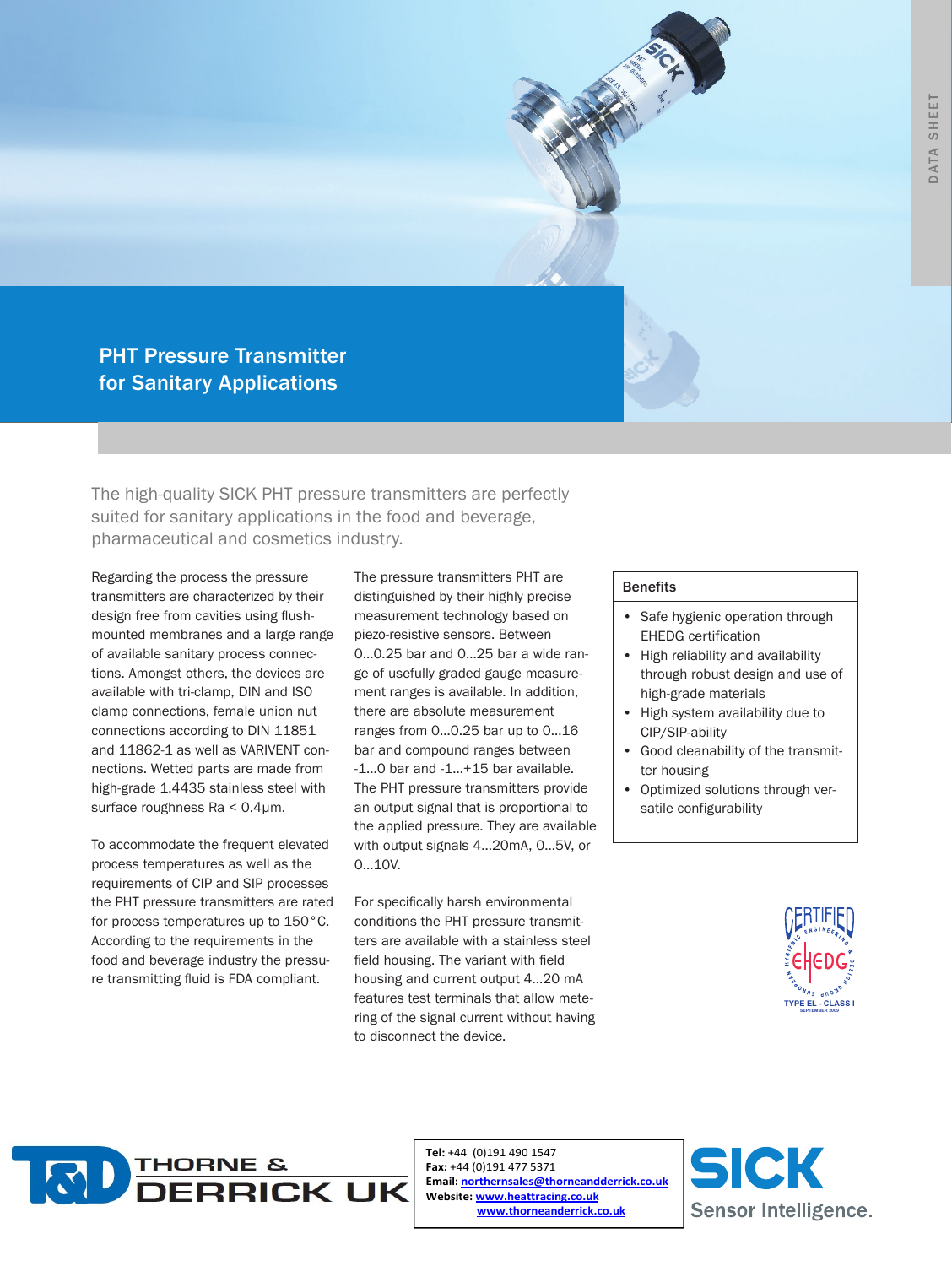# PHT Pressure Transmitter for Sanitary Applications

The high-quality SICK PHT pressure transmitters are perfectly suited for sanitary applications in the food and beverage, pharmaceutical and cosmetics industry.

Regarding the process the pressure transmitters are characterized by their design free from cavities using flushmounted membranes and a large range of available sanitary process connections. Amongst others, the devices are available with tri-clamp, DIN and ISO clamp connections, female union nut connections according to DIN 11851 and 11862-1 as well as VARIVENT connections. Wetted parts are made from high-grade 1.4435 stainless steel with surface roughness Ra < 0.4µm.

To accommodate the frequent elevated process temperatures as well as the requirements of CIP and SIP processes the PHT pressure transmitters are rated for process temperatures up to 150°C. According to the requirements in the food and beverage industry the pressure transmitting fluid is FDA compliant.

The pressure transmitters PHT are distinguished by their highly precise measurement technology based on piezo-resistive sensors. Between 0…0.25 bar and 0…25 bar a wide range of usefully graded gauge measurement ranges is available. In addition, there are absolute measurement ranges from 0…0.25 bar up to 0…16 bar and compound ranges between -1…0 bar and -1…+15 bar available. The PHT pressure transmitters provide an output signal that is proportional to the applied pressure. They are available with output signals 4…20mA, 0…5V, or 0…10V.

For specifically harsh environmental conditions the PHT pressure transmitters are available with a stainless steel field housing. The variant with field housing and current output 4…20 mA features test terminals that allow metering of the signal current without having to disconnect the device.

#### Benefits

- Safe hygienic operation through EHEDG certification
- • High reliability and availability through robust design and use of high-grade materials
- • High system availability due to CIP/SIP-ability
- • Good cleanability of the transmitter housing
- Optimized solutions through versatile configurability





Tel: +44 (0)191 490 1547 Fax: +44 (0)191 477 5371 Email: northernsales@thorneandderrick.co.uk Website: www.heattracing.co.uk www.thorneanderrick.co.uk

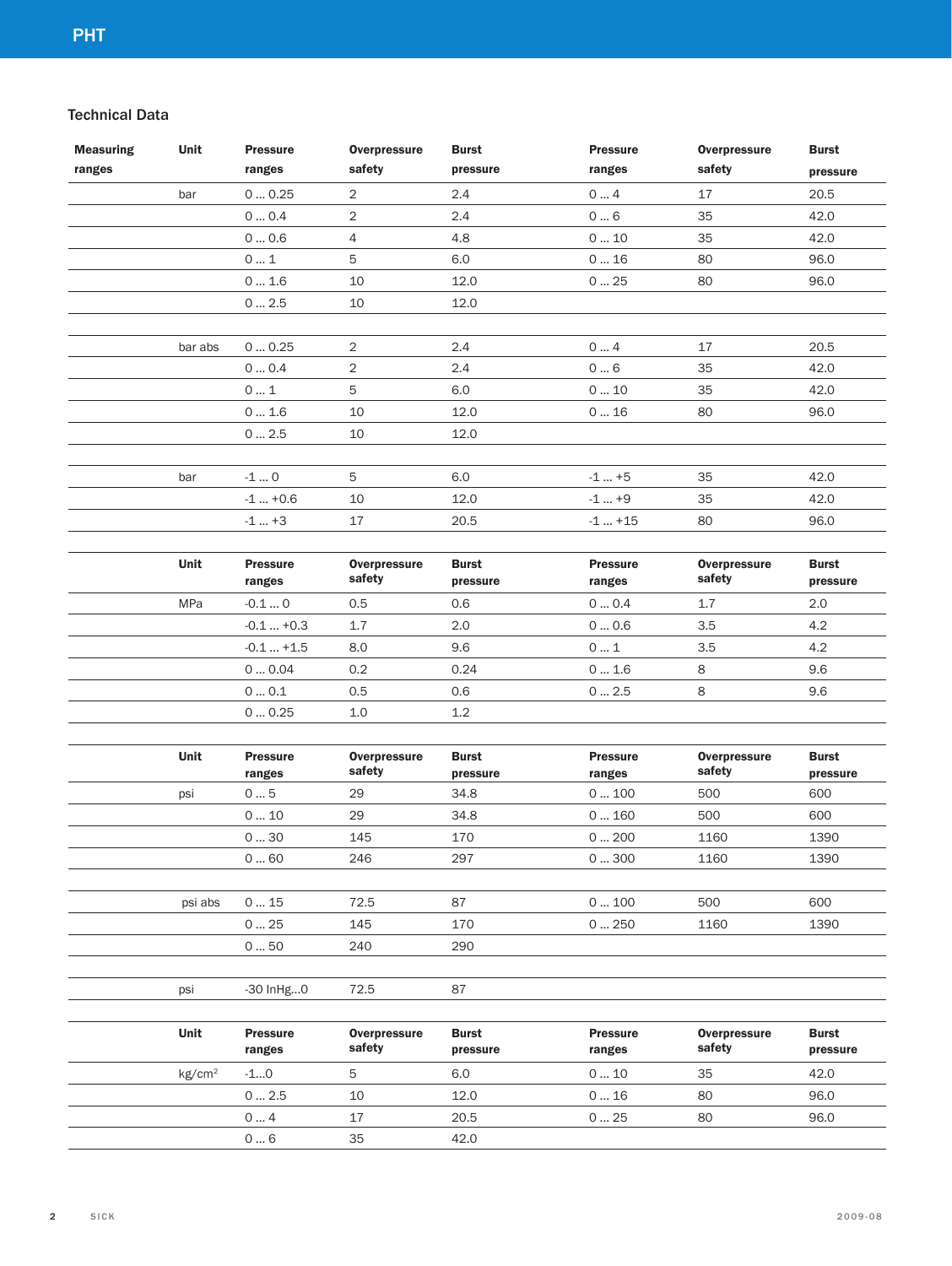## Technical Data

| <b>Measuring</b> | Unit               | <b>Pressure</b>           | <b>Overpressure</b>           | <b>Burst</b>             | <b>Pressure</b>           | <b>Overpressure</b>           | <b>Burst</b>             |
|------------------|--------------------|---------------------------|-------------------------------|--------------------------|---------------------------|-------------------------------|--------------------------|
| ranges           |                    | ranges                    | safety                        | pressure                 | ranges                    | safety                        | pressure                 |
|                  | bar                | 00.25                     | $\overline{2}$                | 2.4                      | 04                        | 17                            | 20.5                     |
|                  |                    | 00.4                      | $\overline{2}$                | 2.4                      | $0 \dots 6$               | 35                            | 42.0                     |
|                  |                    | 0  0.6                    | $\overline{4}$                | 4.8                      | 0  10                     | 35                            | 42.0                     |
|                  |                    | 01                        | 5                             | 6.0                      | 016                       | 80                            | 96.0                     |
|                  |                    | $0 \ldots 1.6$            | 10                            | 12.0                     | $0 \dots 25$              | 80                            | 96.0                     |
|                  |                    | $0 \dots 2.5$             | 10                            | 12.0                     |                           |                               |                          |
|                  |                    |                           |                               |                          |                           |                               |                          |
|                  | bar abs            | 0  0.25                   | $\overline{2}$                | 2.4                      | 04                        | 17                            | 20.5                     |
|                  |                    | 00.4                      | $\overline{2}$                | $2.4\,$                  | $0 \dots 6$               | 35                            | 42.0                     |
|                  |                    | 01                        | 5                             | 6.0                      | 010                       | 35                            | 42.0                     |
|                  |                    | 0  1.6                    | 10                            | 12.0                     | 016                       | 80                            | 96.0                     |
|                  |                    | 02.5                      | 10                            | 12.0                     |                           |                               |                          |
|                  |                    |                           |                               |                          |                           |                               |                          |
|                  | bar                | $-10$                     | 5                             | 6.0                      | $-1+5$                    | 35                            | 42.0                     |
|                  |                    | $-1  +0.6$                | 10                            | 12.0                     | $-1+9$                    | 35                            | 42.0                     |
|                  |                    | $-1  +3$                  | 17                            | 20.5                     | $-1  +15$                 | 80                            | 96.0                     |
|                  |                    |                           |                               |                          |                           |                               |                          |
|                  | Unit               | <b>Pressure</b><br>ranges | <b>Overpressure</b><br>safety | <b>Burst</b><br>pressure | <b>Pressure</b><br>ranges | <b>Overpressure</b><br>safety | <b>Burst</b><br>pressure |
|                  | MPa                | $-0.10$                   | 0.5                           | 0.6                      | 00.4                      | 1.7                           | 2.0                      |
|                  |                    | $-0.1+0.3$                | 1.7                           | 2.0                      | 00.6                      | 3.5                           | 4.2                      |
|                  |                    | $-0.1+1.5$                | 8.0                           | 9.6                      | 01                        | 3.5                           | 4.2                      |
|                  |                    | $0 \dots 0.04$            | 0.2                           | 0.24                     | $0 \dots 1.6$             | 8                             | 9.6                      |
|                  |                    | $0 \dots 0.1$             | 0.5                           | 0.6                      | 0  2.5                    | 8                             | 9.6                      |
|                  |                    | 00.25                     | 1.0                           | 1.2                      |                           |                               |                          |
|                  |                    |                           |                               |                          |                           |                               |                          |
|                  | Unit               | <b>Pressure</b><br>ranges | <b>Overpressure</b><br>safety | <b>Burst</b><br>pressure | <b>Pressure</b><br>ranges | <b>Overpressure</b><br>safety | <b>Burst</b><br>pressure |
|                  | psi                | $0 \dots 5$               | 29                            | 34.8                     | 0  100                    | 500                           | 600                      |
|                  |                    | 010                       | 29                            | 34.8                     | 0160                      | 500                           | 600                      |
|                  |                    | 030                       | 145                           | 170                      | 0200                      | 1160                          | 1390                     |
|                  |                    | $0 \ldots 60$             | 246                           | 297                      | $0 \dots 300$             | 1160                          | 1390                     |
|                  |                    |                           |                               |                          |                           |                               |                          |
|                  | psi abs            | 015                       | 72.5                          | 87                       | 0  100                    | 500                           | 600                      |
|                  |                    | 025                       | 145                           | 170                      | $0 \dots 250$             | 1160                          | 1390                     |
|                  |                    | 050                       | 240                           | 290                      |                           |                               |                          |
|                  |                    |                           |                               |                          |                           |                               |                          |
|                  | psi                | $-30$ InHg $0$            | 72.5                          | 87                       |                           |                               |                          |
|                  | Unit               | <b>Pressure</b><br>ranges | <b>Overpressure</b><br>safety | <b>Burst</b><br>pressure | <b>Pressure</b><br>ranges | <b>Overpressure</b><br>safety | <b>Burst</b><br>pressure |
|                  | kg/cm <sup>2</sup> | $-10$                     | 5                             | 6.0                      | 010                       | 35                            | 42.0                     |
|                  |                    | 0  2.5                    | 10                            | 12.0                     | 016                       | 80                            | 96.0                     |
|                  |                    | 04                        | 17                            | 20.5                     | 025                       | 80                            | 96.0                     |
|                  |                    | $0 \dots 6$               | 35                            | 42.0                     |                           |                               |                          |
|                  |                    |                           |                               |                          |                           |                               |                          |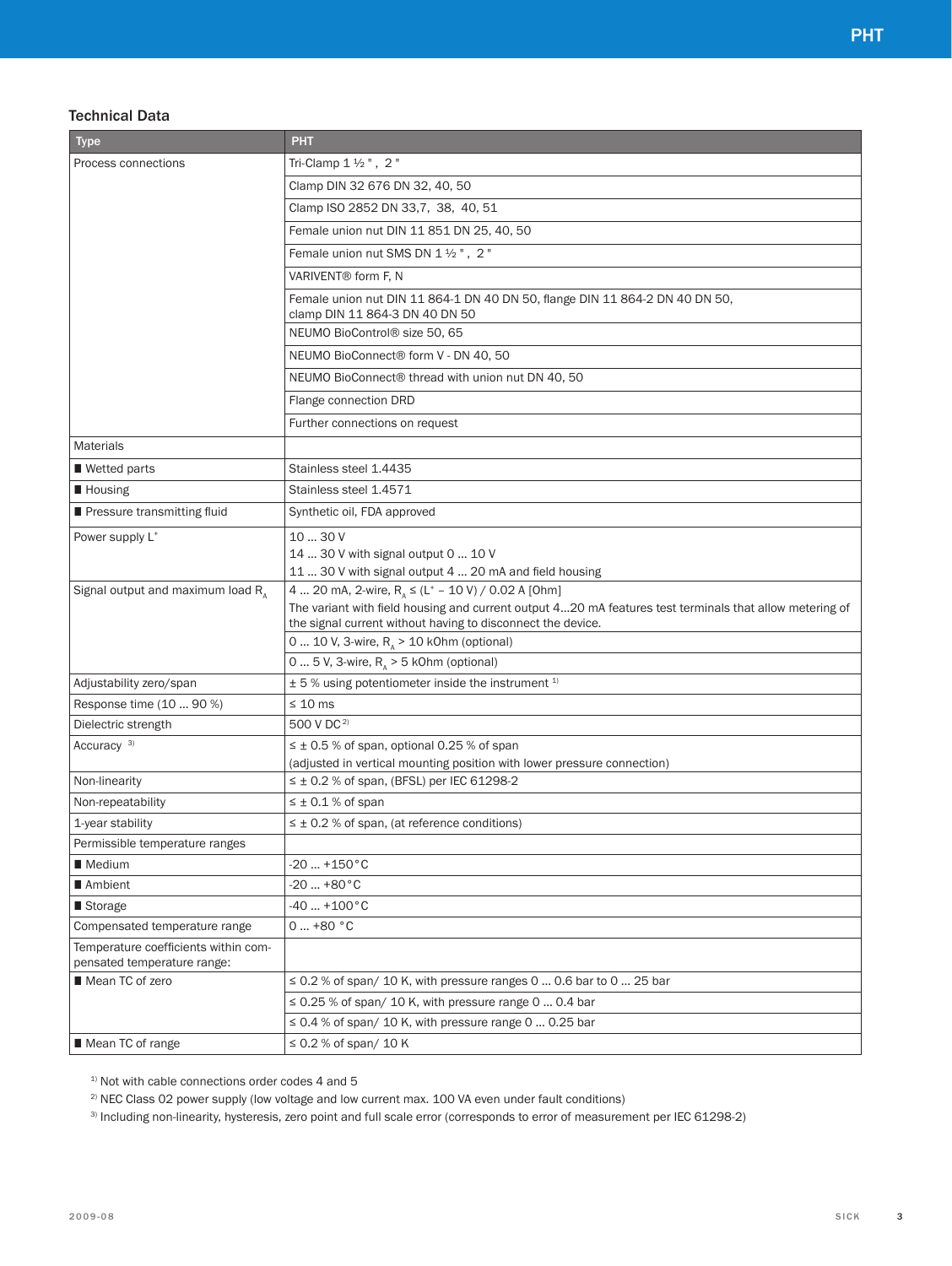## Technical Data

| <b>Type</b>                                                         | <b>PHT</b>                                                                                                                                                             |  |  |  |  |
|---------------------------------------------------------------------|------------------------------------------------------------------------------------------------------------------------------------------------------------------------|--|--|--|--|
| Process connections                                                 | Tri-Clamp 1 1/2", 2"                                                                                                                                                   |  |  |  |  |
|                                                                     | Clamp DIN 32 676 DN 32, 40, 50                                                                                                                                         |  |  |  |  |
|                                                                     | Clamp ISO 2852 DN 33,7, 38, 40, 51                                                                                                                                     |  |  |  |  |
|                                                                     | Female union nut DIN 11 851 DN 25, 40, 50                                                                                                                              |  |  |  |  |
|                                                                     | Female union nut SMS DN 1 1/2", 2"                                                                                                                                     |  |  |  |  |
|                                                                     | VARIVENT <sup>®</sup> form F, N                                                                                                                                        |  |  |  |  |
|                                                                     | Female union nut DIN 11 864-1 DN 40 DN 50, flange DIN 11 864-2 DN 40 DN 50,<br>clamp DIN 11 864-3 DN 40 DN 50                                                          |  |  |  |  |
|                                                                     | NEUMO BioControl® size 50, 65                                                                                                                                          |  |  |  |  |
|                                                                     | NEUMO BioConnect® form V - DN 40, 50                                                                                                                                   |  |  |  |  |
|                                                                     | NEUMO BioConnect® thread with union nut DN 40, 50                                                                                                                      |  |  |  |  |
|                                                                     | Flange connection DRD                                                                                                                                                  |  |  |  |  |
|                                                                     | Further connections on request                                                                                                                                         |  |  |  |  |
| <b>Materials</b>                                                    |                                                                                                                                                                        |  |  |  |  |
| ■ Wetted parts                                                      | Stainless steel 1.4435                                                                                                                                                 |  |  |  |  |
| <b>Housing</b>                                                      | Stainless steel 1.4571                                                                                                                                                 |  |  |  |  |
| Pressure transmitting fluid                                         | Synthetic oil, FDA approved                                                                                                                                            |  |  |  |  |
| Power supply L <sup>+</sup>                                         | 10  30 V                                                                                                                                                               |  |  |  |  |
|                                                                     | 14  30 V with signal output 0  10 V                                                                                                                                    |  |  |  |  |
|                                                                     | 11  30 V with signal output 4  20 mA and field housing                                                                                                                 |  |  |  |  |
| Signal output and maximum load R <sub>A</sub>                       | 4  20 mA, 2-wire, $R_{\text{A}} \leq (L^+ - 10 \text{ V}) / 0.02 \text{ A}$ [Ohm]                                                                                      |  |  |  |  |
|                                                                     | The variant with field housing and current output 420 mA features test terminals that allow metering of<br>the signal current without having to disconnect the device. |  |  |  |  |
|                                                                     | 0  10 V, 3-wire, $R_{\text{A}}$ > 10 kOhm (optional)                                                                                                                   |  |  |  |  |
|                                                                     | 0  5 V, 3-wire, $R_{\text{A}}$ > 5 kOhm (optional)                                                                                                                     |  |  |  |  |
| Adjustability zero/span                                             | $\pm$ 5 % using potentiometer inside the instrument $1$                                                                                                                |  |  |  |  |
| Response time (10  90 %)                                            | $\leq 10$ ms                                                                                                                                                           |  |  |  |  |
| Dielectric strength                                                 | 500 V DC <sup>2)</sup>                                                                                                                                                 |  |  |  |  |
| Accuracy <sup>3)</sup>                                              | $\leq \pm 0.5$ % of span, optional 0.25 % of span                                                                                                                      |  |  |  |  |
|                                                                     | (adjusted in vertical mounting position with lower pressure connection)                                                                                                |  |  |  |  |
| Non-linearity                                                       | $\leq \pm 0.2$ % of span, (BFSL) per IEC 61298-2                                                                                                                       |  |  |  |  |
| Non-repeatability                                                   | $\leq \pm 0.1$ % of span                                                                                                                                               |  |  |  |  |
| 1-year stability                                                    | $\leq \pm 0.2$ % of span, (at reference conditions)                                                                                                                    |  |  |  |  |
| Permissible temperature ranges                                      |                                                                                                                                                                        |  |  |  |  |
| ■ Medium                                                            | $-20$ $+150$ °C                                                                                                                                                        |  |  |  |  |
| ■ Ambient                                                           | $-20+80°C$<br>$-40+100°C$                                                                                                                                              |  |  |  |  |
| ■ Storage                                                           |                                                                                                                                                                        |  |  |  |  |
| Compensated temperature range                                       | $0+80 °C$                                                                                                                                                              |  |  |  |  |
| Temperature coefficients within com-<br>pensated temperature range: |                                                                                                                                                                        |  |  |  |  |
| ■ Mean TC of zero                                                   | $\leq$ 0.2 % of span/ 10 K, with pressure ranges 0  0.6 bar to 0  25 bar                                                                                               |  |  |  |  |
|                                                                     | $\leq$ 0.25 % of span/ 10 K, with pressure range 0  0.4 bar                                                                                                            |  |  |  |  |
|                                                                     | $\leq$ 0.4 % of span/ 10 K, with pressure range 0  0.25 bar                                                                                                            |  |  |  |  |
| Mean TC of range                                                    | $\leq$ 0.2 % of span/ 10 K                                                                                                                                             |  |  |  |  |

 $1)$  Not with cable connections order codes 4 and 5

<sup>2)</sup> NEC Class 02 power supply (low voltage and low current max. 100 VA even under fault conditions)

3) Including non-linearity, hysteresis, zero point and full scale error (corresponds to error of measurement per IEC 61298-2)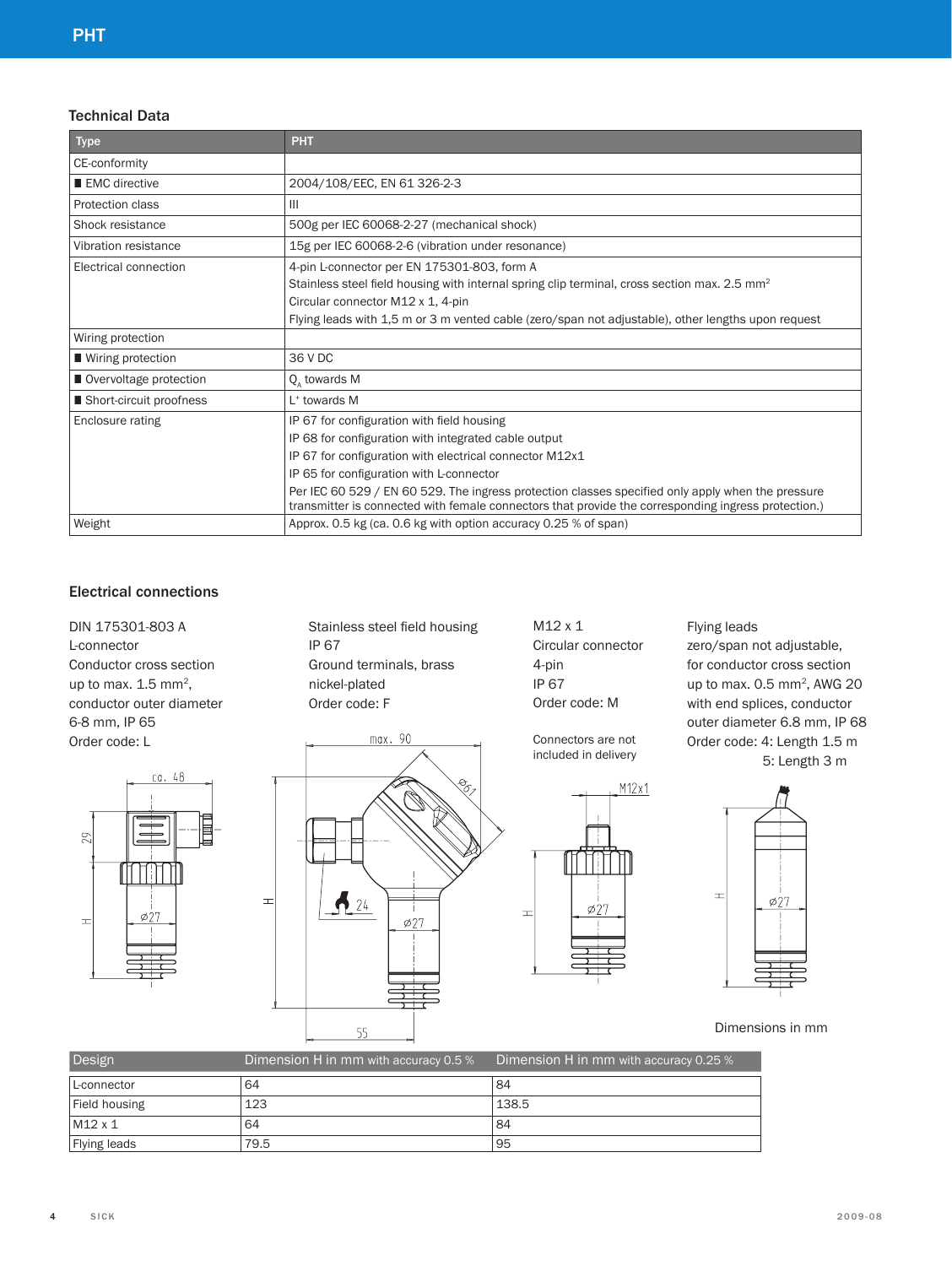## Technical Data

| Type                      | <b>PHT</b>                                                                                                                                                                                               |  |  |  |  |
|---------------------------|----------------------------------------------------------------------------------------------------------------------------------------------------------------------------------------------------------|--|--|--|--|
| CE-conformity             |                                                                                                                                                                                                          |  |  |  |  |
| EMC directive             | 2004/108/EEC, EN 61 326-2-3                                                                                                                                                                              |  |  |  |  |
| Protection class          | Ш                                                                                                                                                                                                        |  |  |  |  |
| Shock resistance          | 500g per IEC 60068-2-27 (mechanical shock)                                                                                                                                                               |  |  |  |  |
| Vibration resistance      | 15g per IEC 60068-2-6 (vibration under resonance)                                                                                                                                                        |  |  |  |  |
| Electrical connection     | 4-pin L-connector per EN 175301-803, form A                                                                                                                                                              |  |  |  |  |
|                           | Stainless steel field housing with internal spring clip terminal, cross section max. 2.5 mm <sup>2</sup>                                                                                                 |  |  |  |  |
|                           | Circular connector M12 x 1, 4-pin                                                                                                                                                                        |  |  |  |  |
|                           | Flying leads with 1,5 m or 3 m vented cable (zero/span not adjustable), other lengths upon request                                                                                                       |  |  |  |  |
| Wiring protection         |                                                                                                                                                                                                          |  |  |  |  |
| ■ Wiring protection       | 36 V DC                                                                                                                                                                                                  |  |  |  |  |
| Overvoltage protection    | Q, towards M                                                                                                                                                                                             |  |  |  |  |
| ■ Short-circuit proofness | L <sup>+</sup> towards M                                                                                                                                                                                 |  |  |  |  |
| Enclosure rating          | IP 67 for configuration with field housing                                                                                                                                                               |  |  |  |  |
|                           | IP 68 for configuration with integrated cable output                                                                                                                                                     |  |  |  |  |
|                           | IP 67 for configuration with electrical connector M12x1                                                                                                                                                  |  |  |  |  |
|                           | IP 65 for configuration with L-connector                                                                                                                                                                 |  |  |  |  |
|                           | Per IEC 60 529 / EN 60 529. The ingress protection classes specified only apply when the pressure<br>transmitter is connected with female connectors that provide the corresponding ingress protection.) |  |  |  |  |
| Weight                    | Approx. 0.5 kg (ca. 0.6 kg with option accuracy 0.25 % of span)                                                                                                                                          |  |  |  |  |

## Electrical connections

DIN 175301-803 A L-connector Conductor cross section up to max.  $1.5$  mm<sup>2</sup>, conductor outer diameter 6-8 mm, IP 65 Order code: L



 $\pm$ 

Stainless steel field housing IP 67 Ground terminals, brass nickel-plated Order code: F



M12 x 1 Circular connector 4-pin IP 67 Order code: M

Connectors are not included in delivery



Flying leads

zero/span not adjustable, for conductor cross section up to max. 0.5 mm<sup>2</sup>, AWG 20 with end splices, conductor outer diameter 6.8 mm, IP 68 Order code: 4: Length 1.5 m 5: Length 3 m



Dimensions in mm

| Design         | Dimension H in mm with accuracy 0.5 % | Dimension H in mm with accuracy 0.25 % |
|----------------|---------------------------------------|----------------------------------------|
| L-connector    | 64                                    | 84                                     |
| Field housing  | 123                                   | 138.5                                  |
| $M12 \times 1$ | 64                                    | 84                                     |
| Flying leads   | 79.5                                  | 95                                     |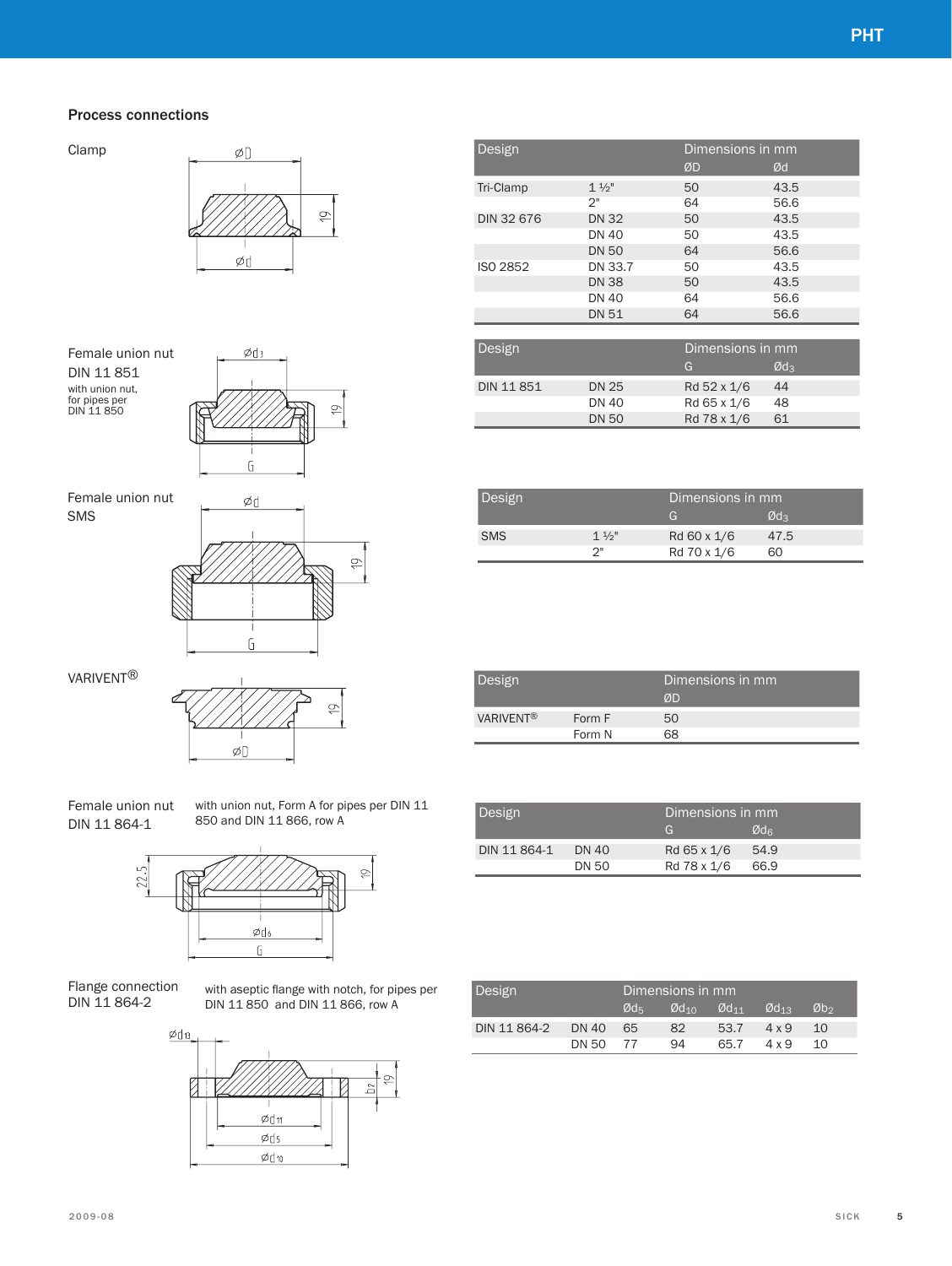#### Process connections

Clamp



Female union nut DIN 11 851 with union nut, for pipes per DIN 11 850



Female union nut SMS



VARIVENT®



Female union nut DIN 11 864-1

with union nut, Form A for pipes per DIN 11 850 and DIN 11 866, row A



Flange connection DIN 11 864-2

with aseptic flange with notch, for pipes per DIN 11 850 and DIN 11 866, row A



| Design            |                |    | Dimensions in mm |
|-------------------|----------------|----|------------------|
|                   |                | ØD | Ød               |
| Tri-Clamp         | $1\frac{1}{2}$ | 50 | 43.5             |
|                   | 2"             | 64 | 56.6             |
| <b>DIN 32 676</b> | <b>DN 32</b>   | 50 | 43.5             |
|                   | <b>DN 40</b>   | 50 | 43.5             |
|                   | <b>DN 50</b>   | 64 | 56.6             |
| ISO 2852          | DN 33.7        | 50 | 43.5             |
|                   | <b>DN 38</b>   | 50 | 43.5             |
|                   | <b>DN 40</b>   | 64 | 56.6             |
|                   | <b>DN 51</b>   | 64 | 56.6             |

| Design     |              | Dimensions in mm |                 |  |  |
|------------|--------------|------------------|-----------------|--|--|
|            |              | G                | Ød <sub>3</sub> |  |  |
| DIN 11 851 | <b>DN 25</b> | Rd 52 x 1/6      | 44              |  |  |
|            | DN 40        | Rd 65 x 1/6      | 48              |  |  |
|            | <b>DN 50</b> | Rd 78 x 1/6      | 61              |  |  |

| Design     |                | Dimensions in mm |      |  |
|------------|----------------|------------------|------|--|
|            |                | G                | Ød3  |  |
| <b>SMS</b> | $1\frac{1}{2}$ | Rd 60 x 1/6      | 47.5 |  |
|            | つ‼             | Rd 70 x 1/6      | 60   |  |
|            |                |                  |      |  |

| Design           |                  | Dimensions in mm<br>ØD |
|------------------|------------------|------------------------|
| <b>VARIVENT®</b> | Form F<br>Form N | 50<br>68               |

| Design       |       | Dimensions in mm |               |  |
|--------------|-------|------------------|---------------|--|
|              |       | G                | $Qd_{\alpha}$ |  |
| DIN 11 864-1 | DN 40 | Rd 65 x 1/6      | 54.9          |  |
|              | DN 50 | Rd 78 x 1/6      | 66.9          |  |

| Design       |        | Dimensions in mm |                             |                             |                             |                 |
|--------------|--------|------------------|-----------------------------|-----------------------------|-----------------------------|-----------------|
|              |        | Ød=              | $\emptyset$ d <sub>10</sub> | $\emptyset$ d <sub>11</sub> | $\emptyset$ d <sub>13</sub> | Øb <sub>2</sub> |
| DIN 11 864-2 | DN 40  | - 65             | 82                          | 53.7                        | $4 \times 9$                | 10              |
|              | DN 50. | 77               | 94                          | 65.7                        | 4 x 9                       | 1 $\cap$        |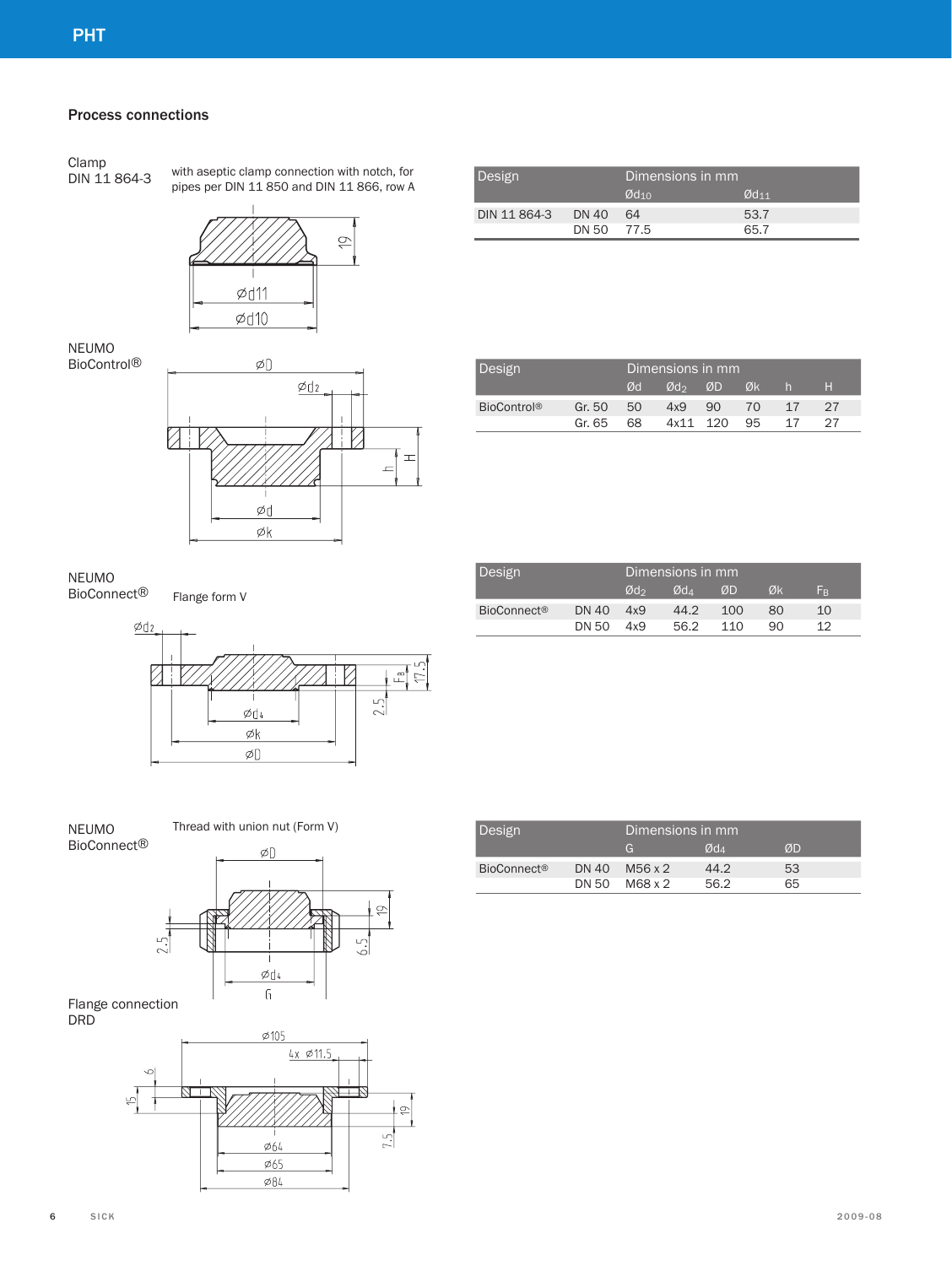#### Process connections

Clamp<br>DIN 11 864-3

with aseptic clamp connection with notch, for pipes per DIN 11 850 and DIN 11 866, row A



Design Dimensions in mm  $\overline{\omega_{d_{10}}}$   $\overline{\omega_{d_{11}}}$ DIN 11 864-3 DN 40 64 53.7<br>DN 50 77.5 65.7 DN 50

| NEUMO              |
|--------------------|
| <b>BioControl®</b> |



| Design             |        | Dimensions in mm |                 |          |    |    |    |
|--------------------|--------|------------------|-----------------|----------|----|----|----|
|                    |        | Ød               | Ød <sub>2</sub> | ØD       | Øk | h. | H  |
| <b>BioControl®</b> | Gr. 50 | 50               | 4x9             | 90       | 70 | 17 | 27 |
|                    | Gr. 65 | 68.              |                 | 4x11 120 | 95 | 17 | 27 |

| NEUMO                   |
|-------------------------|
| BioConnect <sup>®</sup> |

Flange form V



Design Dimensions in mm<br>  $\begin{array}{cc}\n\sqrt{d_2} & \sqrt{d_4} & \sqrt{d_4}\n\end{array}$  $\emptyset$ d<sub>4</sub>  $\emptyset$ D  $\emptyset$ k F<sub>B</sub> BioConnect® DN 40 4x9 44.2 100 80 10<br>DN 50 4x9 56.2 110 90 12 DN 50

| NFUMO              |  |
|--------------------|--|
| <b>BioConnect®</b> |  |

Thread with union nut (Form V)



Flange connection DRD



| Design                        |       | Dimensions in mm |        |    |
|-------------------------------|-------|------------------|--------|----|
|                               |       | G                | $Qd_A$ | ØD |
| <b>BioConnect<sup>®</sup></b> | DN 40 | M56 x 2          | 44.2   | 53 |
|                               |       | DN 50 M68 x 2    | 56.2   | 65 |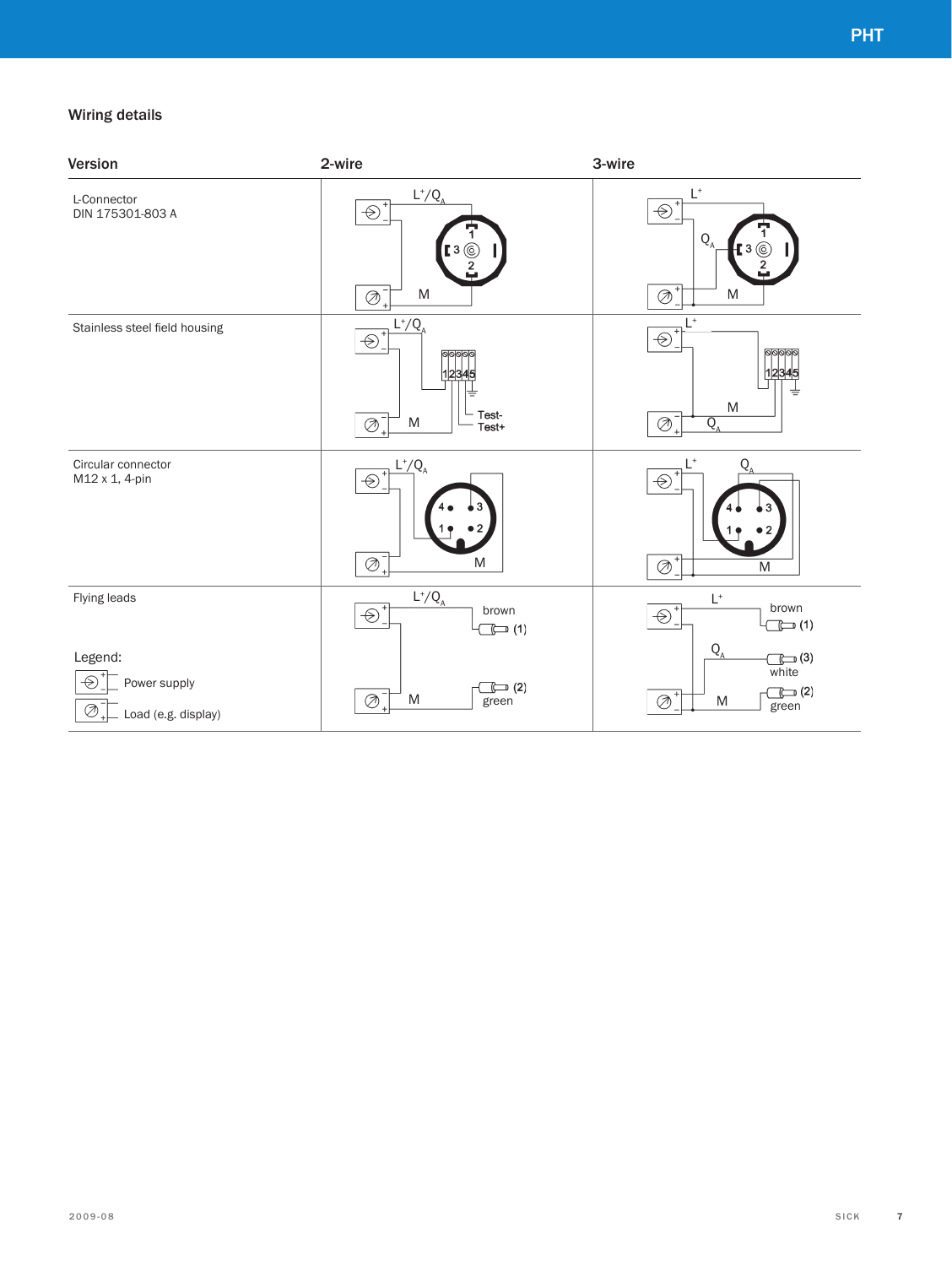## Wiring details

| Version                                                                                        | 2-wire                                                                                          | 3-wire                                                                                                            |
|------------------------------------------------------------------------------------------------|-------------------------------------------------------------------------------------------------|-------------------------------------------------------------------------------------------------------------------|
| L-Connector<br>DIN 175301-803 A                                                                | $L^+/Q_{\rm A}$<br>$\bigcirc$<br>.3 <sub>(6)</sub><br>M<br>$\oslash$                            | $\mathsf{L}^*$<br>$\bigcirc$ $\bar{\ }$<br>$Q_{A}$<br>[ 3 $\times$<br>${\sf M}$<br>$\oslash$                      |
| Stainless steel field housing                                                                  | $L^+/Q$<br>$\circledast$<br>12345<br>≑<br>Test-<br>$\oslash$ <sup>-</sup><br>${\sf M}$<br>Test+ | $\mathsf{L}^*$<br>$^{+}$<br>$\bigoplus$ $\bigcup$<br>${\sf M}$<br>$\oslash$<br>$\overline{Q}_{\rho}$<br>$\ddot{}$ |
| Circular connector<br>M12 x 1, 4-pin                                                           | $L^+/Q_4$<br>$\circledast$<br>$\overline{\otimes}^-$<br>M                                       | $L^*$<br>Q<br>$\overline{\otimes}^*$<br>M                                                                         |
| Flying leads                                                                                   | $L^+/Q_{\rm A}$<br>$\bigoplus_{i=1}^{n}$<br>brown<br>$\mathbb{C}$ (1)                           | $\mathsf{L}^*$<br>brown<br>$\bigoplus_{i=1}^{n}$<br>$\mathbb{C}$ (1)                                              |
| Legend:<br>$\cdot \infty$<br>Power supply<br>$\oslash$ $\bar{\enspace}$<br>Load (e.g. display) | $\Box$ (2)<br>$\oslash$<br>M<br>green                                                           | $Q_{A}$<br>$\Box$ $(3)$<br>white<br>$\mathbb{C}$ (2)<br>$\oslash$<br>M<br>green                                   |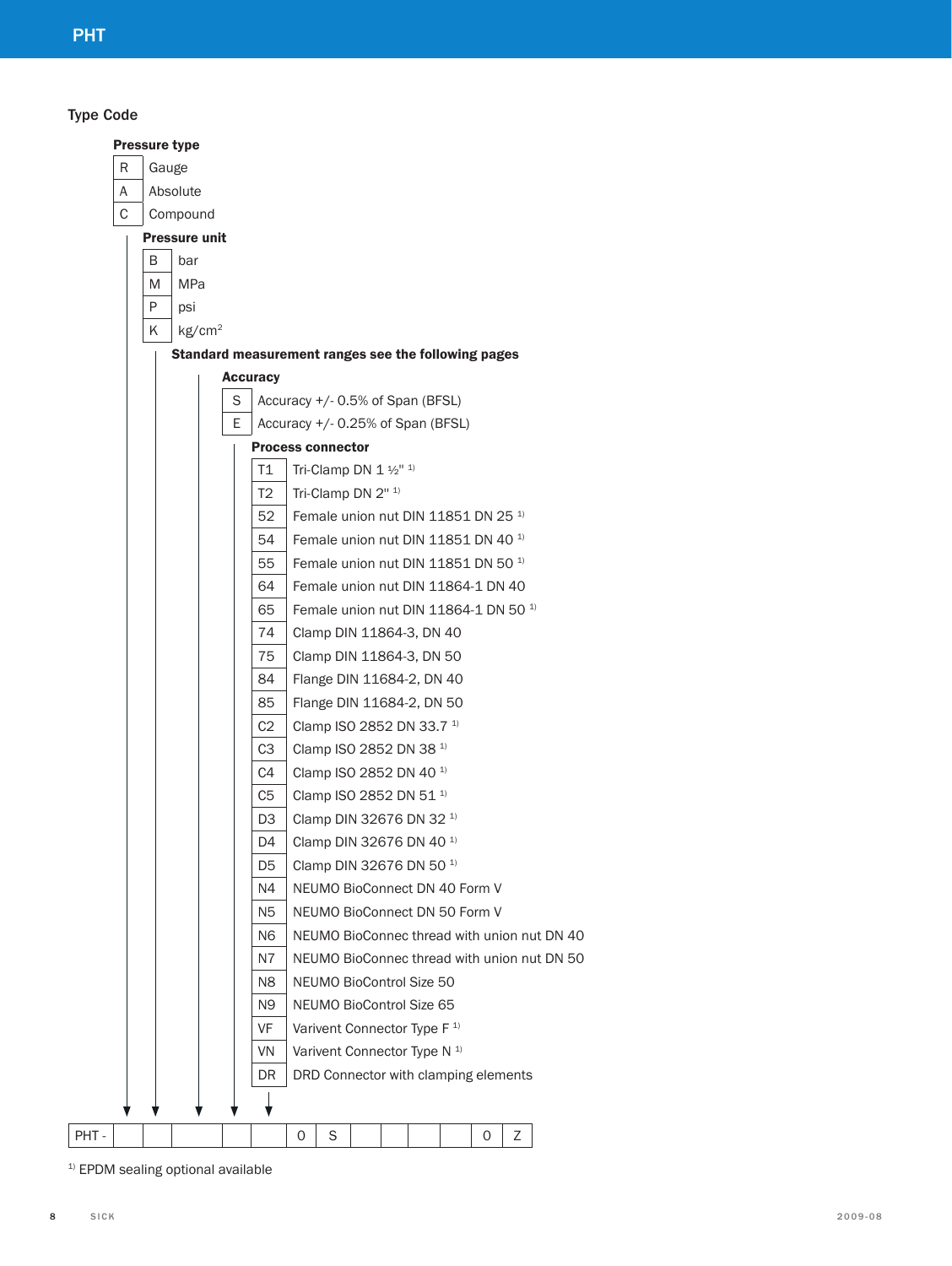Type Code

|   |       | <b>Pressure type</b> |                    |   |                                                     |   |                                                  |  |  |   |   |                                             |
|---|-------|----------------------|--------------------|---|-----------------------------------------------------|---|--------------------------------------------------|--|--|---|---|---------------------------------------------|
| R | Gauge |                      |                    |   |                                                     |   |                                                  |  |  |   |   |                                             |
| Α |       | Absolute             |                    |   |                                                     |   |                                                  |  |  |   |   |                                             |
| С |       | Compound             |                    |   |                                                     |   |                                                  |  |  |   |   |                                             |
|   |       | <b>Pressure unit</b> |                    |   |                                                     |   |                                                  |  |  |   |   |                                             |
|   | B     | bar                  |                    |   |                                                     |   |                                                  |  |  |   |   |                                             |
|   | M     | MPa                  |                    |   |                                                     |   |                                                  |  |  |   |   |                                             |
|   | P     | psi                  |                    |   |                                                     |   |                                                  |  |  |   |   |                                             |
|   | Κ     |                      | kg/cm <sup>2</sup> |   |                                                     |   |                                                  |  |  |   |   |                                             |
|   |       |                      |                    |   | Standard measurement ranges see the following pages |   |                                                  |  |  |   |   |                                             |
|   |       |                      |                    |   | <b>Accuracy</b>                                     |   |                                                  |  |  |   |   |                                             |
|   |       |                      |                    | S |                                                     |   | Accuracy +/- 0.5% of Span (BFSL)                 |  |  |   |   |                                             |
|   |       |                      |                    | E |                                                     |   | Accuracy +/- 0.25% of Span (BFSL)                |  |  |   |   |                                             |
|   |       |                      |                    |   | <b>Process connector</b>                            |   |                                                  |  |  |   |   |                                             |
|   |       |                      |                    |   | Τ1                                                  |   | Tri-Clamp DN $1\frac{1}{2}$ <sup>" 1)</sup>      |  |  |   |   |                                             |
|   |       |                      |                    |   | T2                                                  |   | Tri-Clamp DN 2" 1)                               |  |  |   |   |                                             |
|   |       |                      |                    |   | 52                                                  |   | Female union nut DIN 11851 DN 25 <sup>1)</sup>   |  |  |   |   |                                             |
|   |       |                      |                    |   | 54                                                  |   | Female union nut DIN 11851 DN 40 <sup>1)</sup>   |  |  |   |   |                                             |
|   |       |                      |                    |   | 55                                                  |   | Female union nut DIN 11851 DN 50 <sup>1)</sup>   |  |  |   |   |                                             |
|   |       |                      |                    |   | 64                                                  |   | Female union nut DIN 11864-1 DN 40               |  |  |   |   |                                             |
|   |       |                      |                    |   | 65                                                  |   | Female union nut DIN 11864-1 DN 50 <sup>1)</sup> |  |  |   |   |                                             |
|   |       |                      |                    |   | 74                                                  |   | Clamp DIN 11864-3, DN 40                         |  |  |   |   |                                             |
|   |       |                      |                    |   | 75                                                  |   | Clamp DIN 11864-3, DN 50                         |  |  |   |   |                                             |
|   |       |                      |                    |   | 84                                                  |   | Flange DIN 11684-2, DN 40                        |  |  |   |   |                                             |
|   |       |                      |                    |   | 85                                                  |   | Flange DIN 11684-2, DN 50                        |  |  |   |   |                                             |
|   |       |                      |                    |   | C <sub>2</sub>                                      |   | Clamp ISO 2852 DN 33.7 <sup>1)</sup>             |  |  |   |   |                                             |
|   |       |                      |                    |   | C <sub>3</sub>                                      |   | Clamp ISO 2852 DN 38 <sup>1)</sup>               |  |  |   |   |                                             |
|   |       |                      |                    |   | C4                                                  |   | Clamp ISO 2852 DN 40 <sup>1)</sup>               |  |  |   |   |                                             |
|   |       |                      |                    |   | C <sub>5</sub>                                      |   | Clamp ISO 2852 DN 51 <sup>1)</sup>               |  |  |   |   |                                             |
|   |       |                      |                    |   | D3                                                  |   | Clamp DIN 32676 DN 32 <sup>1)</sup>              |  |  |   |   |                                             |
|   |       |                      |                    |   | D4                                                  |   | Clamp DIN 32676 DN 40 <sup>1)</sup>              |  |  |   |   |                                             |
|   |       |                      |                    |   | D5                                                  |   | Clamp DIN 32676 DN 50 <sup>1)</sup>              |  |  |   |   |                                             |
|   |       |                      |                    |   | N4                                                  |   | NEUMO BioConnect DN 40 Form V                    |  |  |   |   |                                             |
|   |       |                      |                    |   | N5                                                  |   | NEUMO BioConnect DN 50 Form V                    |  |  |   |   |                                             |
|   |       |                      |                    |   | N6                                                  |   |                                                  |  |  |   |   | NEUMO BioConnec thread with union nut DN 40 |
|   |       |                      |                    |   | N7                                                  |   |                                                  |  |  |   |   | NEUMO BioConnec thread with union nut DN 50 |
|   |       |                      |                    |   | N8                                                  |   | NEUMO BioControl Size 50                         |  |  |   |   |                                             |
|   |       |                      |                    |   | N9                                                  |   | NEUMO BioControl Size 65                         |  |  |   |   |                                             |
|   |       |                      |                    |   | VF                                                  |   | Varivent Connector Type F <sup>1)</sup>          |  |  |   |   |                                             |
|   |       |                      |                    |   | VN                                                  |   | Varivent Connector Type N <sup>1)</sup>          |  |  |   |   |                                             |
|   |       |                      |                    |   | DR                                                  |   | DRD Connector with clamping elements             |  |  |   |   |                                             |
|   |       |                      |                    |   |                                                     |   |                                                  |  |  |   |   |                                             |
|   |       |                      |                    |   |                                                     | 0 | S                                                |  |  | 0 | Ζ |                                             |
|   |       |                      |                    |   |                                                     |   |                                                  |  |  |   |   |                                             |

 $1)$  EPDM sealing optional available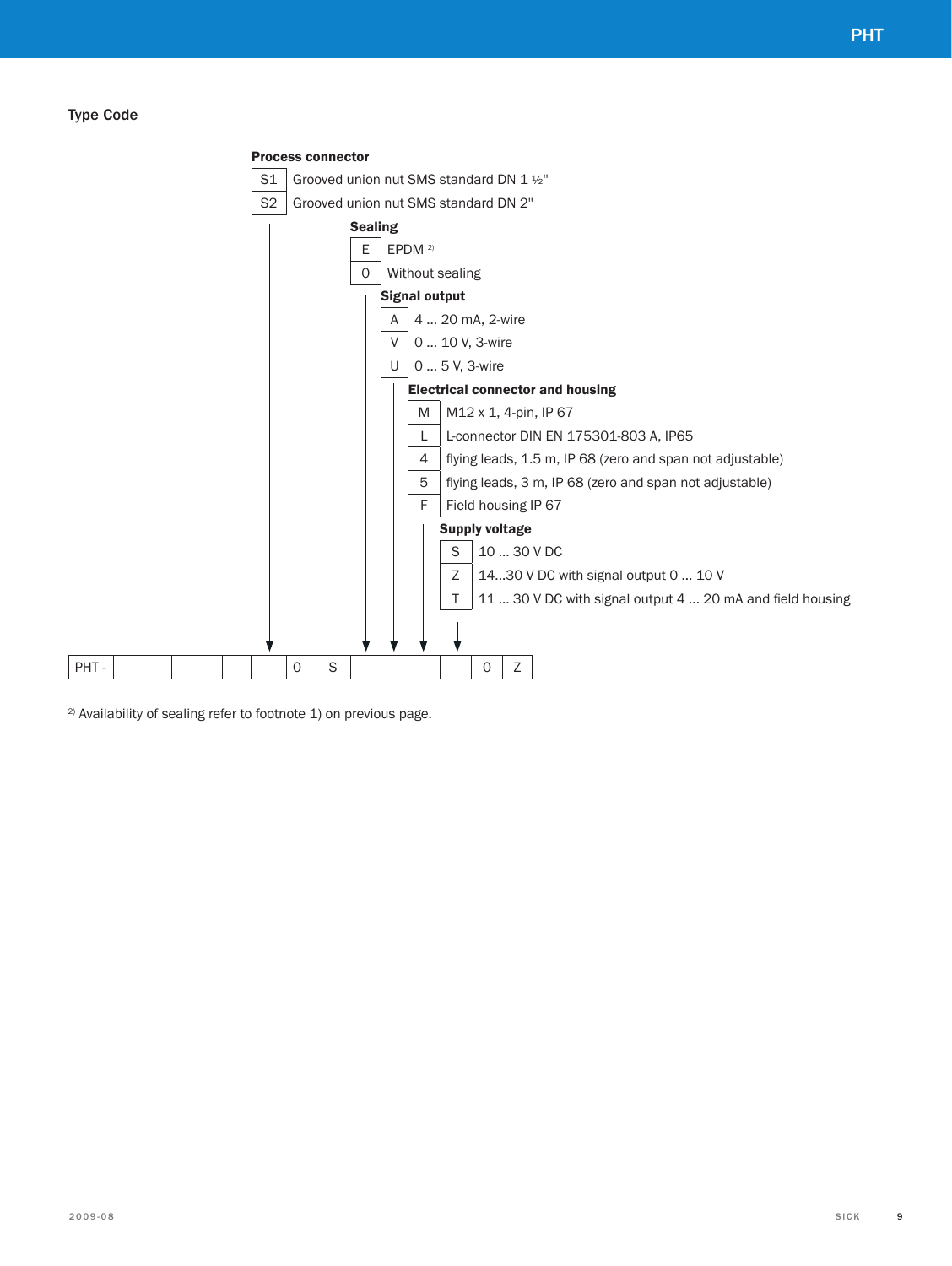### Type Code



2) Availability of sealing refer to footnote 1) on previous page.